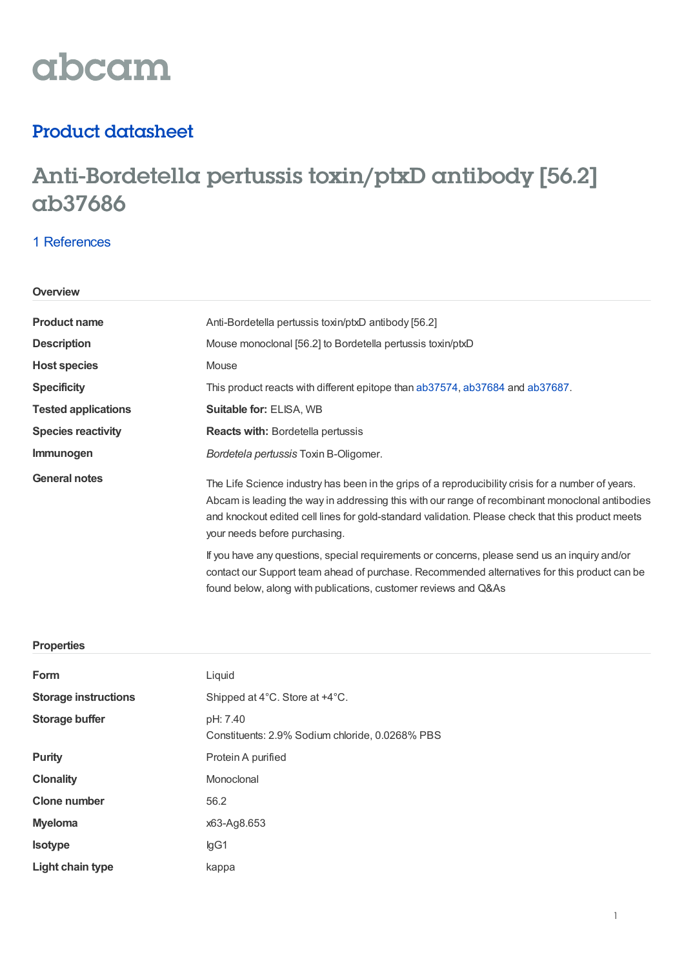# abcam

### Product datasheet

## Anti-Bordetella pertussis toxin/ptxD antibody [56.2] ab37686

#### 1 [References](https://www.abcam.com/bordetella-pertussis-toxinptxd-antibody-562-ab37686.html#description_references)

#### **Overview**

| <b>Product name</b>        | Anti-Bordetella pertussis toxin/ptxD antibody [56.2]                                                                                                                                                                                                                                                                                        |  |  |
|----------------------------|---------------------------------------------------------------------------------------------------------------------------------------------------------------------------------------------------------------------------------------------------------------------------------------------------------------------------------------------|--|--|
| <b>Description</b>         | Mouse monoclonal [56.2] to Bordetella pertussis toxin/ptxD                                                                                                                                                                                                                                                                                  |  |  |
| <b>Host species</b>        | Mouse                                                                                                                                                                                                                                                                                                                                       |  |  |
| <b>Specificity</b>         | This product reacts with different epitope than ab37574, ab37684 and ab37687.                                                                                                                                                                                                                                                               |  |  |
| <b>Tested applications</b> | <b>Suitable for: ELISA, WB</b>                                                                                                                                                                                                                                                                                                              |  |  |
| <b>Species reactivity</b>  | <b>Reacts with: Bordetella pertussis</b>                                                                                                                                                                                                                                                                                                    |  |  |
| Immunogen                  | <i>Bordetela pertussis</i> Toxin B-Oligomer.                                                                                                                                                                                                                                                                                                |  |  |
| <b>General notes</b>       | The Life Science industry has been in the grips of a reproducibility crisis for a number of years.<br>Abcam is leading the way in addressing this with our range of recombinant monoclonal antibodies<br>and knockout edited cell lines for gold-standard validation. Please check that this product meets<br>your needs before purchasing. |  |  |
|                            | If you have any questions, special requirements or concerns, please send us an inquiry and/or<br>contact our Support team ahead of purchase. Recommended alternatives for this product can be<br>found below, along with publications, customer reviews and Q&As                                                                            |  |  |

#### **Properties**

| Form                        | Liquid                                                      |  |
|-----------------------------|-------------------------------------------------------------|--|
| <b>Storage instructions</b> | Shipped at 4°C. Store at +4°C.                              |  |
| <b>Storage buffer</b>       | pH: 7.40<br>Constituents: 2.9% Sodium chloride, 0.0268% PBS |  |
| <b>Purity</b>               | Protein A purified                                          |  |
| <b>Clonality</b>            | Monoclonal                                                  |  |
| <b>Clone number</b>         | 56.2                                                        |  |
| <b>Myeloma</b>              | x63-Ag8.653                                                 |  |
| <b>Isotype</b>              | lgG1                                                        |  |
| Light chain type            | kappa                                                       |  |